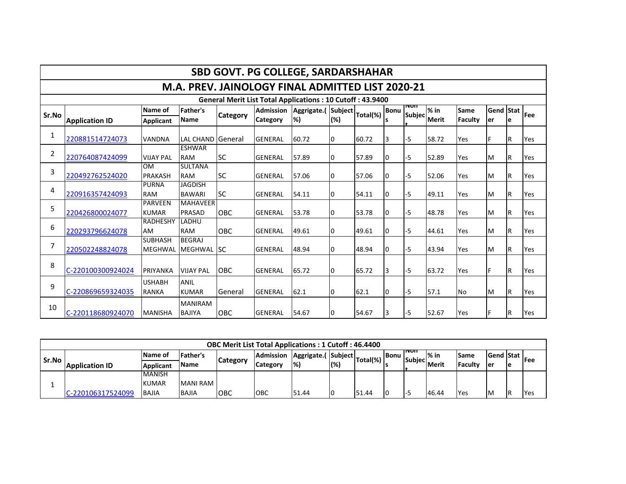| <b>SBD GOVT. PG COLLEGE, SARDARSHAHAR</b>                        |                       |                                |                                  |                 |                                     |                          |     |          |             |                      |                        |                 |                         |     |            |
|------------------------------------------------------------------|-----------------------|--------------------------------|----------------------------------|-----------------|-------------------------------------|--------------------------|-----|----------|-------------|----------------------|------------------------|-----------------|-------------------------|-----|------------|
| M.A. PREV. JAINOLOGY FINAL ADMITTED LIST 2020-21                 |                       |                                |                                  |                 |                                     |                          |     |          |             |                      |                        |                 |                         |     |            |
| <b>General Merit List Total Applications: 10 Cutoff: 43.9400</b> |                       |                                |                                  |                 |                                     |                          |     |          |             |                      |                        |                 |                         |     |            |
| Sr.No                                                            | <b>Application ID</b> | Name of<br>Applicant           | <b>Father's</b><br><b>Name</b>   | <b>Category</b> | <b>Admission</b><br><b>Category</b> | Aggrigate.(Subject<br>%) | (%) | Total(%) | <b>Bonu</b> | non<br><b>Subjec</b> | $%$ in<br><b>Merit</b> | Same<br>Faculty | <b>Gend Stat</b><br>ler | e   | <b>Fee</b> |
| 1                                                                | 220881514724073       | <b>VANDNA</b>                  | LAL CHAND General                |                 | <b>GENERAL</b>                      | 60.72                    | 0   | 60.72    | I3          | -5                   | 58.72                  | Yes             | F                       | IR. | Yes        |
| $\overline{2}$                                                   | 220764087424099       | <b>VIJAY PAL</b>               | <b>ESHWAR</b><br><b>RAM</b>      | <b>SC</b>       | <b>GENERAL</b>                      | 57.89                    | 0   | 57.89    | 0           | -5                   | 52.89                  | Yes             | M                       | IR. | Yes        |
| 3                                                                | 220492762524020       | <b>OM</b><br><b>PRAKASH</b>    | <b>SULTANA</b><br><b>RAM</b>     | <b>SC</b>       | <b>GENERAL</b>                      | 57.06                    | 0   | 57.06    | I0          | -5                   | 52.06                  | Yes             | M                       | l R | Yes        |
| 4                                                                | 220916357424093       | <b>PURNA</b><br><b>RAM</b>     | <b>JAGDISH</b><br><b>BAWARI</b>  | lsc             | <b>GENERAL</b>                      | 54.11                    | 0   | 54.11    | 0           | -5                   | 49.11                  | Yes             | M                       | lR. | Yes        |
| 5                                                                | 220426800024077       | <b>PARVEEN</b><br><b>KUMAR</b> | <b>MAHAVEER</b><br><b>PRASAD</b> | <b>OBC</b>      | <b>GENERAL</b>                      | 53.78                    | 0   | 53.78    | 10          | -5                   | 48.78                  | Yes             | IM.                     | IR. | Yes        |
| 6                                                                | 220293796624078       | <b>RADHESHY</b><br><b>AM</b>   | LADHU<br><b>RAM</b>              | <b>OBC</b>      | <b>GENERAL</b>                      | 49.61                    | 0   | 49.61    | I0          | -5                   | 44.61                  | Yes             | M                       | lR. | Yes        |
| 7                                                                | 220502248824078       | <b>SUBHASH</b><br>MEGHWAL      | <b>BEGRAJ</b><br>MEGHWAL SC      |                 | <b>GENERAL</b>                      | 48.94                    | 0   | 48.94    | 10          | -5                   | 43.94                  | Yes             | <b>M</b>                | IR. | Yes        |
| 8                                                                | C-220100300924024     | PRIYANKA                       | <b>VIJAY PAL</b>                 | <b>OBC</b>      | <b>GENERAL</b>                      | 65.72                    | 0   | 65.72    | 13          | -5                   | 63.72                  | Yes             | lF.                     | IR. | Yes        |
| 9                                                                | C-220869659324035     | <b>USHABH</b><br><b>RANKA</b>  | ANIL<br><b>KUMAR</b>             | General         | <b>GENERAL</b>                      | 62.1                     | 0   | 62.1     | 0           | -5                   | 57.1                   | <b>No</b>       | M                       | IR. | Yes        |
| 10                                                               | C-220118680924070     | <b>MANISHA</b>                 | <b>MANIRAM</b><br><b>BAJIYA</b>  | <b>OBC</b>      | <b>GENERAL</b>                      | 54.67                    | 0   | 54.67    | 3           | -5                   | 52.67                  | Yes             | F                       | lR. | Yes        |

| <b>OBC Merit List Total Applications: 1 Cutoff: 46.4400</b> |                  |                  |                 |                 |                  |                          |     |             |       |                        |               |                 |           |    |             |
|-------------------------------------------------------------|------------------|------------------|-----------------|-----------------|------------------|--------------------------|-----|-------------|-------|------------------------|---------------|-----------------|-----------|----|-------------|
| l Sr.No                                                     |                  | <b>Name of</b>   | Father's        | <b>Category</b> | <b>Admission</b> | Aggrigate.( Subject      |     | $Total(\%)$ | lBonu | INON<br><b>Subject</b> | l% in         | lSame           | Gend Stat |    | <b>IFee</b> |
|                                                             | Application ID   | <b>Applicant</b> | <b>Name</b>     |                 | Category         | $\left  \%\right\rangle$ | (%) |             |       |                        | <b>IMerit</b> | <b>IFaculty</b> | Ter       | 1e |             |
|                                                             |                  | <b>MANISH</b>    |                 |                 |                  |                          |     |             |       |                        |               |                 |           |    |             |
|                                                             |                  | <b>KUMAR</b>     | <b>MANI RAM</b> |                 |                  |                          |     |             |       |                        |               |                 |           |    |             |
|                                                             | -220106317524099 | <b>BAJIA</b>     | <b>BAJIA</b>    | Іовс            | <b>OBC</b>       | 51.44                    |     | 51.44       | 10    |                        | 46.44         | <b>Yes</b>      | <b>IM</b> | ΙR | <b>Yes</b>  |